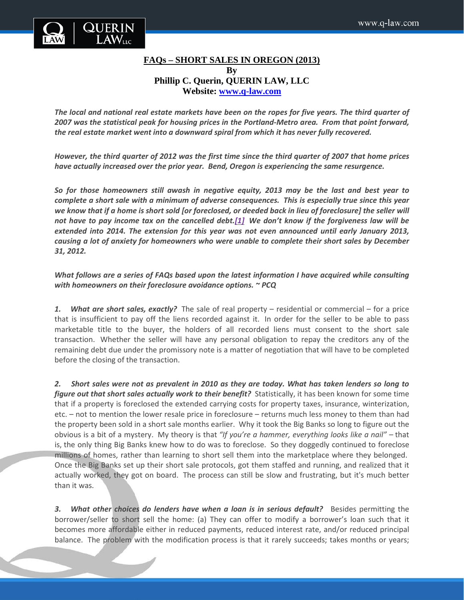

## **FAQs – SHORT SALES IN OREGON (2013) By Phillip C. Querin, QUERIN LAW, LLC**

**Website: [www.q-law.com](http://www.q-law.com/)**

The local and national real estate markets have been on the ropes for five years. The third quarter of *2007 was the statistical peak for housing prices in the Portland-Metro area. From that point forward, the real estate market went into a downward spiral from which it has never fully recovered.*

However, the third quarter of 2012 was the first time since the third quarter of 2007 that home prices *have actually increased over the prior year. Bend, Oregon is experiencing the same resurgence.*

*So for those homeowners still awash in negative equity, 2013 may be the last and best year to complete a short sale with a minimum of adverse consequences. This is especially true since this year* we know that if a home is short sold [or foreclosed, or deeded back in lieu of foreclosure] the seller will not have to pay income tax on the cancelled debt.[1] We don't know if the forgiveness law will be *extended into 2014. The extension for this year was not even announced until early January 2013, causing a lot of anxiety for homeowners who were unable to complete their short sales by December 31, 2012.*

## *What follows are a series of FAQs based upon the latest information I have acquired while consulting with homeowners on their foreclosure avoidance options. ~ PCQ*

*1. What are short sales, exactly?* The sale of real property – residential or commercial – for a price that is insufficient to pay off the liens recorded against it. In order for the seller to be able to pass marketable title to the buyer, the holders of all recorded liens must consent to the short sale transaction. Whether the seller will have any personal obligation to repay the creditors any of the remaining debt due under the promissory note is a matter of negotiation that will have to be completed before the closing of the transaction.

*2. Short sales were not as prevalent in 2010 as they are today. What has taken lenders so long to figure out that short sales actually work to their benefit?* Statistically, it has been known for some time that if a property is foreclosed the extended carrying costs for property taxes, insurance, winterization, etc. – not to mention the lower resale price in foreclosure – returns much less money to them than had the property been sold in a short sale months earlier. Why it took the Big Banks so long to figure out the obvious is a bit of a mystery. My theory is that *"If you're a hammer, everything looks like a nail" –* that is, the only thing Big Banks knew how to do was to foreclose. So they doggedly continued to foreclose millions of homes, rather than learning to short sell them into the marketplace where they belonged. Once the Big Banks set up their short sale protocols, got them staffed and running, and realized that it actually worked, they got on board. The process can still be slow and frustrating, but it's much better than it was.

**3.** What other choices do lenders have when a loan is in serious default? Besides permitting the borrower/seller to short sell the home: (a) They can offer to modify a borrower's loan such that it becomes more affordable either in reduced payments, reduced interest rate, and/or reduced principal balance. The problem with the modification process is that it rarely succeeds; takes months or years;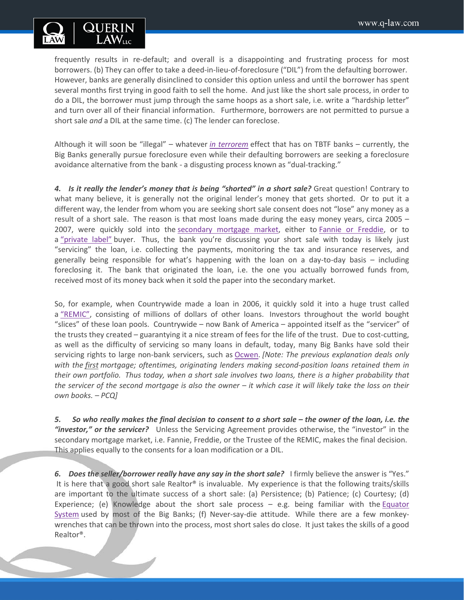

frequently results in re-default; and overall is a disappointing and frustrating process for most borrowers. (b) They can offer to take a deed-in-lieu-of-foreclosure ("DIL") from the defaulting borrower. However, banks are generally disinclined to consider this option unless and until the borrower has spent several months first trying in good faith to sell the home. And just like the short sale process, in order to do a DIL, the borrower must jump through the same hoops as a short sale, i.e. write a "hardship letter" and turn over all of their financial information. Furthermore, borrowers are not permitted to pursue a short sale *and* a DIL at the same time. (c) The lender can foreclose.

Although it will soon be "illegal" – whatever *in [terrorem](http://legal-dictionary.thefreedictionary.com/in+terrorem)* effect that has on TBTF banks – currently, the Big Banks generally pursue foreclosure even while their defaulting borrowers are seeking a foreclosure avoidance alternative from the bank - a disgusting process known as "dual-tracking."

*4. Is it really the lender's money that is being "shorted" in a short sale?* Great question! Contrary to what many believe, it is generally not the original lender's money that gets shorted. Or to put it a different way, the lender from whom you are seeking short sale consent does not "lose" any money as a result of a short sale. The reason is that most loans made during the easy money years, circa 2005 – 2007, were quickly sold into the [secondary mortgage market,](http://www.q-law.com/tools/glossary/glossary-of-real-estate-terms-oregon-s/) either to [Fannie or Freddie,](http://www.q-law.com/tools/glossary/glossary-of-real-estate-terms-oregon-f/) or to a ["private label"](http://securitization.weebly.com/private-label-mbs.html) buyer. Thus, the bank you're discussing your short sale with today is likely just "servicing" the loan, i.e. collecting the payments, monitoring the tax and insurance reserves, and generally being responsible for what's happening with the loan on a day-to-day basis – including foreclosing it. The bank that originated the loan, i.e. the one you actually borrowed funds from, received most of its money back when it sold the paper into the secondary market.

So, for example, when Countrywide made a loan in 2006, it quickly sold it into a huge trust called a ["REMIC",](http://www.q-law.com/tools/glossary/glossary-of-real-estate-terms-oregon-r/) consisting of millions of dollars of other loans. Investors throughout the world bought "slices" of these loan pools. Countrywide – now Bank of America – appointed itself as the "servicer" of the trusts they created – guarantying it a nice stream of fees for the life of the trust. Due to cost-cutting, as well as the difficulty of servicing so many loans in default, today, many Big Banks have sold their servicing rights to large non-bank servicers, such as [Ocwen.](http://www.ocwen.com/) *[Note: The previous explanation deals only with the first mortgage; oftentimes, originating lenders making second-position loans retained them in* their own portfolio. Thus today, when a short sale involves two loans, there is a higher probability that the servicer of the second mortgage is also the owner  $-$  it which case it will likely take the loss on their *own books. – PCQ]*

*5. So who really makes the final decision to consent to a short sale – the owner of the loan, i.e. the "investor," or the servicer?* Unless the Servicing Agreement provides otherwise, the "investor" in the secondary mortgage market, i.e. Fannie, Freddie, or the Trustee of the REMIC, makes the final decision. This applies equally to the consents for a loan modification or a DIL.

*6. Does the seller/borrower really have any say in the short sale?* I firmly believe the answer is "Yes." It is here that a good short sale Realtor® is invaluable. My experience is that the following traits/skills are important to the ultimate success of a short sale: (a) Persistence; (b) Patience; (c) Courtesy; (d) Experience; (e) Knowledge about the short sale process  $-$  e.g. being familiar with the Equator [System](https://agentresources.bankofamerica.com/content/document/ss_understandthedashboard.pdf) used by most of the Big Banks; (f) Never-say-die attitude. While there are a few monkeywrenches that can be thrown into the process, most short sales do close. It just takes the skills of a good Realtor®.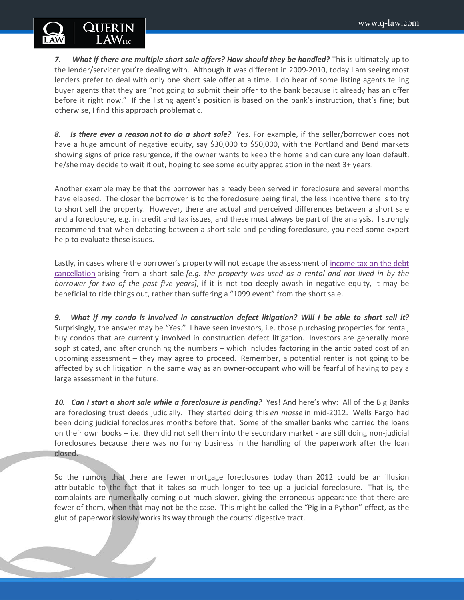

*7. What if there are multiple short sale offers? How should they be handled?* This is ultimately up to the lender/servicer you're dealing with. Although it was different in 2009-2010, today I am seeing most lenders prefer to deal with only one short sale offer at a time. I do hear of some listing agents telling buyer agents that they are "not going to submit their offer to the bank because it already has an offer before it right now." If the listing agent's position is based on the bank's instruction, that's fine; but otherwise, I find this approach problematic.

*8. Is there ever a reason not to do a short sale?* Yes. For example, if the seller/borrower does not have a huge amount of negative equity, say \$30,000 to \$50,000, with the Portland and Bend markets showing signs of price resurgence, if the owner wants to keep the home and can cure any loan default, he/she may decide to wait it out, hoping to see some equity appreciation in the next 3+ years.

Another example may be that the borrower has already been served in foreclosure and several months have elapsed. The closer the borrower is to the foreclosure being final, the less incentive there is to try to short sell the property. However, there are actual and perceived differences between a short sale and a foreclosure, e.g. in credit and tax issues, and these must always be part of the analysis. I strongly recommend that when debating between a short sale and pending foreclosure, you need some expert help to evaluate these issues.

Lastly, in cases where the borrower's property will not escape the assessment of [income tax on the debt](http://www.q-law.com/taxing-issues/)  [cancellation](http://www.q-law.com/taxing-issues/) arising from a short sale *[e.g. the property was used as a rental and not lived in by the borrower for two of the past five years]*, if it is not too deeply awash in negative equity, it may be beneficial to ride things out, rather than suffering a "1099 event" from the short sale.

*9. What if my condo is involved in construction defect litigation? Will I be able to short sell it?* Surprisingly, the answer may be "Yes." I have seen investors, i.e. those purchasing properties for rental, buy condos that are currently involved in construction defect litigation. Investors are generally more sophisticated, and after crunching the numbers – which includes factoring in the anticipated cost of an upcoming assessment – they may agree to proceed. Remember, a potential renter is not going to be affected by such litigation in the same way as an owner-occupant who will be fearful of having to pay a large assessment in the future.

*10. Can I start a short sale while a foreclosure is pending?* Yes! And here's why: All of the Big Banks are foreclosing trust deeds judicially. They started doing this *en masse* in mid-2012. Wells Fargo had been doing judicial foreclosures months before that. Some of the smaller banks who carried the loans on their own books – i.e. they did not sell them into the secondary market - are still doing non-judicial foreclosures because there was no funny business in the handling of the paperwork after the loan closed.

So the rumors that there are fewer mortgage foreclosures today than 2012 could be an illusion attributable to the fact that it takes so much longer to tee up a judicial foreclosure. That is, the complaints are numerically coming out much slower, giving the erroneous appearance that there are fewer of them, when that may not be the case. This might be called the "Pig in a Python" effect, as the glut of paperwork slowly works its way through the courts' digestive tract.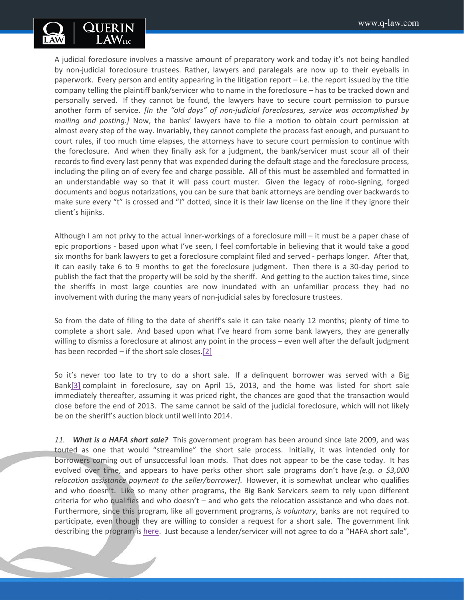

A judicial foreclosure involves a massive amount of preparatory work and today it's not being handled by non-judicial foreclosure trustees. Rather, lawyers and paralegals are now up to their eyeballs in paperwork. Every person and entity appearing in the litigation report – i.e. the report issued by the title company telling the plaintiff bank/servicer who to name in the foreclosure – has to be tracked down and personally served. If they cannot be found, the lawyers have to secure court permission to pursue another form of service. *[In the "old days" of non-judicial foreclosures, service was accomplished by mailing and posting.]* Now, the banks' lawyers have to file a motion to obtain court permission at almost every step of the way. Invariably, they cannot complete the process fast enough, and pursuant to court rules, if too much time elapses, the attorneys have to secure court permission to continue with the foreclosure. And when they finally ask for a judgment, the bank/servicer must scour all of their records to find every last penny that was expended during the default stage and the foreclosure process, including the piling on of every fee and charge possible. All of this must be assembled and formatted in an understandable way so that it will pass court muster. Given the legacy of robo-signing, forged documents and bogus notarizations, you can be sure that bank attorneys are bending over backwards to make sure every "t" is crossed and "I" dotted, since it is their law license on the line if they ignore their client's hijinks.

Although I am not privy to the actual inner-workings of a foreclosure mill – it must be a paper chase of epic proportions - based upon what I've seen, I feel comfortable in believing that it would take a good six months for bank lawyers to get a foreclosure complaint filed and served - perhaps longer. After that, it can easily take 6 to 9 months to get the foreclosure judgment. Then there is a 30-day period to publish the fact that the property will be sold by the sheriff. And getting to the auction takes time, since the sheriffs in most large counties are now inundated with an unfamiliar process they had no involvement with during the many years of non-judicial sales by foreclosure trustees.

So from the date of filing to the date of sheriff's sale it can take nearly 12 months; plenty of time to complete a short sale. And based upon what I've heard from some bank lawyers, they are generally willing to dismiss a foreclosure at almost any point in the process – even well after the default judgment has been recorded  $-$  if the short sale closes.[2]

So it's never too late to try to do a short sale. If a delinquent borrower was served with a Big Bank[3] complaint in foreclosure, say on April 15, 2013, and the home was listed for short sale immediately thereafter, assuming it was priced right, the chances are good that the transaction would close before the end of 2013. The same cannot be said of the judicial foreclosure, which will not likely be on the sheriff's auction block until well into 2014.

*11. What is a HAFA short sale?* This government program has been around since late 2009, and was touted as one that would "streamline" the short sale process. Initially, it was intended only for borrowers coming out of unsuccessful loan mods. That does not appear to be the case today. It has evolved over time, and appears to have perks other short sale programs don't have *[e.g. a \$3,000 relocation assistance payment to the seller/borrower].* However, it is somewhat unclear who qualifies and who doesn't. Like so many other programs, the Big Bank Servicers seem to rely upon different criteria for who qualifies and who doesn't – and who gets the relocation assistance and who does not. Furthermore, since this program, like all government programs, *is voluntary*, banks are not required to participate, even though they are willing to consider a request for a short sale. The government link describing the program is [here.](http://www.makinghomeaffordable.gov/programs/exit-gracefully/Pages/hafa.aspx) Just because a lender/servicer will not agree to do a "HAFA short sale",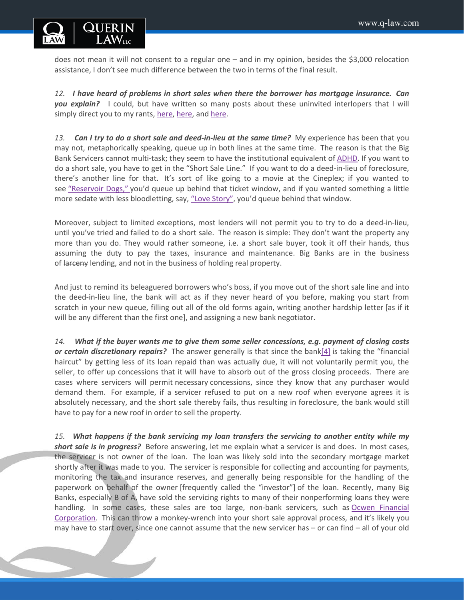

does not mean it will not consent to a regular one – and in my opinion, besides the \$3,000 relocation assistance, I don't see much difference between the two in terms of the final result.

*12. I have heard of problems in short sales when there the borrower has mortgage insurance. Can you explain?* I could, but have written so many posts about these uninvited interlopers that I will simply direct you to my rants, [here,](http://q-law.com/short-sale-trap-mortgage-insurance/) [here,](http://q-law.com/short-sale-trap-mortgage-insurance-part-two/) and [here.](http://q-law.com/mortgage-insurers-short-sale-shakedown-artists/)

*13. Can I try to do a short sale and deed-in-lieu at the same time?* My experience has been that you may not, metaphorically speaking, queue up in both lines at the same time. The reason is that the Big Bank Servicers cannot multi-task; they seem to have the institutional equivalent of [ADHD.](http://en.wikipedia.org/wiki/Attention_deficit_hyperactivity_disorder) If you want to do a short sale, you have to get in the "Short Sale Line." If you want to do a deed-in-lieu of foreclosure, there's another line for that. It's sort of like going to a movie at the Cineplex; if you wanted to see ["Reservoir Dogs,"](http://news.moviefone.com/2012/10/23/reservoir-dogs-cast-where-are-they-now_n_2006774.html#slide=1670230) you'd queue up behind that ticket window, and if you wanted something a little more sedate with less bloodletting, say, ["Love Story",](http://www.imdb.com/title/tt0066011/) you'd queue behind that window.

Moreover, subject to limited exceptions, most lenders will not permit you to try to do a deed-in-lieu, until you've tried and failed to do a short sale. The reason is simple: They don't want the property any more than you do. They would rather someone, i.e. a short sale buyer, took it off their hands, thus assuming the duty to pay the taxes, insurance and maintenance. Big Banks are in the business of larceny lending, and not in the business of holding real property.

And just to remind its beleaguered borrowers who's boss, if you move out of the short sale line and into the deed-in-lieu line, the bank will act as if they never heard of you before, making you start from scratch in your new queue, filling out all of the old forms again, writing another hardship letter [as if it will be any different than the first one], and assigning a new bank negotiator.

*14. What if the buyer wants me to give them some seller concessions, e.g. payment of closing costs or certain discretionary repairs?* The answer generally is that since the bank[4] is taking the "financial haircut" by getting less of its loan repaid than was actually due, it will not voluntarily permit you, the seller, to offer up concessions that it will have to absorb out of the gross closing proceeds. There are cases where servicers will permit necessary concessions, since they know that any purchaser would demand them. For example, if a servicer refused to put on a new roof when everyone agrees it is absolutely necessary, and the short sale thereby fails, thus resulting in foreclosure, the bank would still have to pay for a new roof in order to sell the property.

*15. What happens if the bank servicing my loan transfers the servicing to another entity while my short sale is in progress?* Before answering, let me explain what a servicer is and does. In most cases, the servicer is not owner of the loan. The loan was likely sold into the secondary mortgage market shortly after it was made to you. The servicer is responsible for collecting and accounting for payments, monitoring the tax and insurance reserves, and generally being responsible for the handling of the paperwork on behalf of the owner [frequently called the "investor"] of the loan. Recently, many Big Banks, especially B of A, have sold the servicing rights to many of their nonperforming loans they were handling. In some cases, these sales are too large, non-bank servicers, such as [Ocwen Financial](http://www.ocwen.com/)  [Corporation.](http://www.ocwen.com/) This can throw a monkey-wrench into your short sale approval process, and it's likely you may have to start over, since one cannot assume that the new servicer has – or can find – all of your old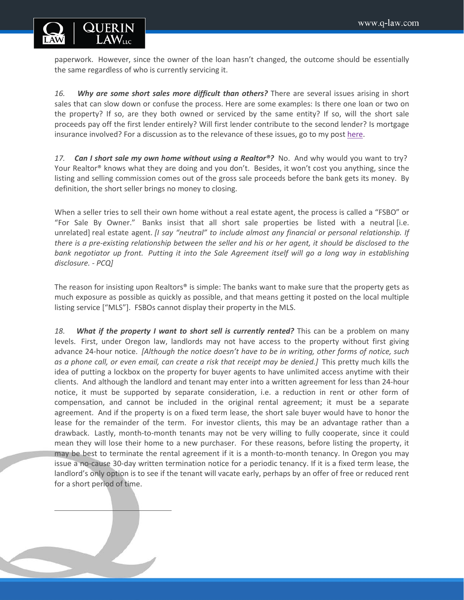

paperwork. However, since the owner of the loan hasn't changed, the outcome should be essentially the same regardless of who is currently servicing it.

*16. Why are some short sales more difficult than others?* There are several issues arising in short sales that can slow down or confuse the process. Here are some examples: Is there one loan or two on the property? If so, are they both owned or serviced by the same entity? If so, will the short sale proceeds pay off the first lender entirely? Will first lender contribute to the second lender? Is mortgage insurance involved? For a discussion as to the relevance of these issues, go to my post [here.](http://q-law.com/recognizing-problem-short-sales-early/)

*17. Can I short sale my own home without using a Realtor®?* No. And why would you want to try? Your Realtor<sup>®</sup> knows what they are doing and you don't. Besides, it won't cost you anything, since the listing and selling commission comes out of the gross sale proceeds before the bank gets its money. By definition, the short seller brings no money to closing.

When a seller tries to sell their own home without a real estate agent, the process is called a "FSBO" or "For Sale By Owner." Banks insist that all short sale properties be listed with a neutral [i.e. unrelated] real estate agent. *[I say "neutral" to include almost any financial or personal relationship. If there is a pre-existing relationship between the seller and his or her agent, it should be disclosed to the bank negotiator up front. Putting it into the Sale Agreement itself will go a long way in establishing disclosure. - PCQ]*

The reason for insisting upon Realtors® is simple: The banks want to make sure that the property gets as much exposure as possible as quickly as possible, and that means getting it posted on the local multiple listing service ["MLS"]. FSBOs cannot display their property in the MLS.

*18. What if the property I want to short sell is currently rented?* This can be a problem on many levels. First, under Oregon law, landlords may not have access to the property without first giving advance 24-hour notice. *[Although the notice doesn't have to be in writing, other forms of notice, such as a phone call, or even email, can create a risk that receipt may be denied.]* This pretty much kills the idea of putting a lockbox on the property for buyer agents to have unlimited access anytime with their clients. And although the landlord and tenant may enter into a written agreement for less than 24-hour notice, it must be supported by separate consideration, i.e. a reduction in rent or other form of compensation, and cannot be included in the original rental agreement; it must be a separate agreement. And if the property is on a fixed term lease, the short sale buyer would have to honor the lease for the remainder of the term. For investor clients, this may be an advantage rather than a drawback. Lastly, month-to-month tenants may not be very willing to fully cooperate, since it could mean they will lose their home to a new purchaser. For these reasons, before listing the property, it may be best to terminate the rental agreement if it is a month-to-month tenancy. In Oregon you may issue a no-cause 30-day written termination notice for a periodic tenancy. If it is a fixed term lease, the landlord's only option is to see if the tenant will vacate early, perhaps by an offer of free or reduced rent for a short period of time.